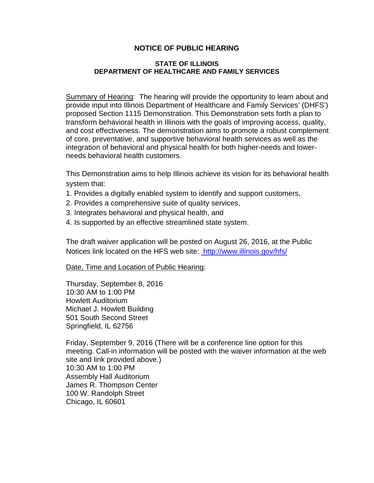## **NOTICE OF PUBLIC HEARING**

## **STATE OF ILLINOIS DEPARTMENT OF HEALTHCARE AND FAMILY SERVICES**

Summary of Hearing: The hearing will provide the opportunity to learn about and provide input into Illinois Department of Healthcare and Family Services' (DHFS') proposed Section 1115 Demonstration. This Demonstration sets forth a plan to transform behavioral health in Illinois with the goals of improving access, quality, and cost effectiveness. The demonstration aims to promote a robust complement of core, preventative, and supportive behavioral health services as well as the integration of behavioral and physical health for both higher-needs and lowerneeds behavioral health customers.

This Demonstration aims to help Illinois achieve its vision for its behavioral health system that:

- 1. Provides a digitally enabled system to identify and support customers,
- 2. Provides a comprehensive suite of quality services,
- 3. Integrates behavioral and physical health, and
- 4. Is supported by an effective streamlined state system.

The draft waiver application will be posted on August 26, 2016, at the Public Notices link located on the HFS web site: <http://www.illinois.gov/hfs/>

Date, Time and Location of Public Hearing:

Thursday, September 8, 2016 10:30 AM to 1:00 PM Howlett Auditorium Michael J. Howlett Building 501 South Second Street Springfield, IL 62756

Friday, September 9, 2016 (There will be a conference line option for this meeting. Call-in information will be posted with the waiver information at the web site and link provided above.) 10:30 AM to 1:00 PM Assembly Hall Auditorium James R. Thompson Center 100 W. Randolph Street Chicago, IL 60601